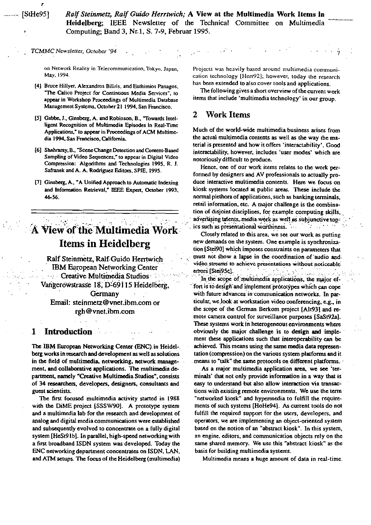Ralf Steinmetz, Ralf Guido Herrtwich; A View at the Multimedia Work Items in Heidelberg; IEEE Newsletter of the Technical Committee on Multimedia Computing; Band 3, Nr.1, S. 7-9, Februar 1995.

TCMMC Newsletter, October '94

on Network Reality in Telecommunication, Tokyo, Japan, May, 1994.

- [4] Bruce Hillyer, Alexandros Biliris, and Euthimios Panagos, "The Calico Project for Continuous Media Services", to appear in Workshop Proceedings of Multimedia Database Management Systems, October 21 1994, San Francisco.
- [5] Gabbe, J., Ginsberg, A. and Robinson, B., "Towards Intelligent Recognition of Multimedia Episodes in Real-Time Applications," to appear in Proceedings of ACM Multimedia 1994, San Francisco, California.
- [6] Shahraray, B., "Scene Change Detection and Content-Based Sampling of Video Sequences," to appear in Digital Video Compression: Algorithms and Technologies 1995, R. J. Safranek and A. A. Rodriguez Editors, SPIE, 1995.
- [7] Ginsberg, A., "A Unified Approach to Automatic Indexing and Information Retrieval," IEEE Expert, October 1993, 46-56.

# A View of the Multimedia Work **Items in Heidelberg**

Ralf Steinmetz, Ralf Guido Herrtwich **IBM European Networking Center** Creative Multimedia Studios  $\mathcal{N}_{\rm{max}}$ Vangerowstrasse 18, D-69115 Heidelberg. Germany Email: steinmetz@vnet.ibm.com or rgh@vnet.ibm.com

#### Л Introduction

The IBM European Networking Center (ENC) in Heidelberg works in research and development as well as solutions in the field of multimedia, networking, network management, and collaborative applications. The multimedia department, namely "Creative Multimedia Studios", consists of 34 researchers, developers, designers, consultants and guest scientists.

The first focused multimedia activity started in 1988 with the DiME project [SSSW90]. A prototype system and a multimedia lab for the research and development of analog and digital media communications were established and subsequently evolved to concentrate on a fully digital system [HeSt91b]. In parallel, high-speed networking with a first broadband ISDN system was developed. Today the ENC networking department concentrates on ISDN, LAN, and ATM setups. The focus of the Heidelberg (multimedia) Projects was heavily based around multimedia communication technology [Herr92]; however, today the research has been extended to also cover tools and applications.

The following gives a short overview of the current work items that include 'multimedia technology' in our group.

#### 2 Work Items

Much of the world-wide multimedia business arises from the actual multimedia contents as well as the way the material is presented and how it offers 'interactability'. Good interactability, however, includes 'user modes' which are notoriously difficult to produce.

Hence, one of our work items relates to the work performed by designers and AV professionals to actually produce interactive multimedia contents. Here we focus on kiosk systems located at public areas. These include the normal plethora of applications, such as banking terminals, retail information, etc. A major challenge is the combination of disjoint disciplines, for example computing skills, advertising talents, media work as well as subjunctive top- $\mathcal{L}_{\text{max}}$  ,  $\mathcal{L}_{\text{max}}$ ics such as presentational worthiness.

Closely related to this area, we see our work as putting new demands on the system. One example is synchronization [Stei90] which imposes constraints on parameters that must not show a lapse in the coordination of audio and video streams to achieve presentations without noticeable يتر السلوب والأراد الأراد errors [Stei95c].  $\sim$ 

In the scope of multimedia applications, the major effort is to design and implement prototypes which can cope with future advances in communication networks. In particular, we look at workstation video conferencing, e.g., in the scope of the German Berkom project [Alt93] and remote camera control for surveillance purposes [SaSt92a]. These systems work in heterogeneous environments where obviously the major challenge is to design and implement these applications such that interoperability can be achieved. This means using the same media data representation (compression) on the various system platforms and it means to "talk" the same protocols on different platforms.

As a major multimedia application area, we see 'terminals' that not only provide information in a way that is easy to understand but also allow interaction via transactions with existing remote environments. We use the term "networked kiosk" and hypermedia to fulfill the requirements of such systems [HoHe94]. As current tools do not fulfill the required support for the users, developers, and operators, we are implementing an object-oriented system based on the notion of an "abstract kiosk". In this system, an engine, editors, and communication objects rely on the same shared memory. We use this "abstract kiosk" as the basis for building multimedia systems.

Multimedia means a huge amount of data in real-time.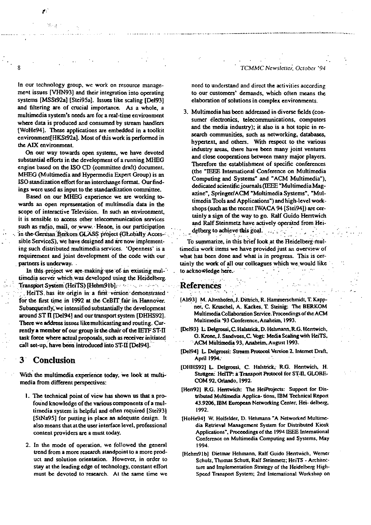In our technology group, we work on resource management issues [VHN93] and their integration into operating systems [MSSt92a] [Stei95a]. Issues like scaling [Del93] and filtering are of crucial importance. As a whole, a multimedia system's needs are for a real-time environment where data is produced and consumed by stream handlers [WoHe94]. These applications are embedded in a toolkit environment[HKSt92a]. Most of this work is performed in the AIX environment.

On our way towards open systems, we have devoted substantial efforts in the development of a running MHEG engine based on the ISO CD (committee draft) document. MHEG (Multimedia and Hypermedia Expert Group) is an ISO standization effort for an interchange format. Our findings were used as input to the standardization committee.

Based on our MHEG experience we are working towards an open representation of multimedia data in the scope of interactive Television. In such an environment, it is sensible to access other telecommunication services such as radio, mail, or www. Hence, in our participation in the German Berkom GLASS project (GLobally Accessible ServiceS), we have designed and are now implementing such distributed multimedia services. 'Openness' is a requirement and joint development of the code with our partners is underway.

In this project we are making use of an existing multimedia server which was developed using the Heidelberg. Transport System (HeiTS) [Hehm91b] HeiTS has its origin in a first version demonstrated for the first time in 1992 at the CeBIT fair in Hannover. Subsequently, we intensified substantially the development around ST II [Del94] and our transport system [DHHS92]. There we address issues like multicasting and routing. Currently a member of our group is the chair of the IETF ST-II task force where actual proposals, such as receiver initiated call set-up, have been introduced into ST-II [Del94].

#### 3 Conclusion

With the multimedia experience today, we look at multimedia from different perspectives:

- 1. The technical point of view has shown us that a profound knowledge of the various components of a multimedia system is helpful and often required [Stei93] [StNa95] for putting in place an adequate design. It also means that at the user interface level, professional content providers are a must today.
- 2. In the mode of operation, we followed the general trend from a more research standpoint to a more product and solution orientation. However, in order to stay at the leading edge of technology, constant effort must be devoted to research. At the same time we

TCMMC Newsletter, October '94

need to understand and direct the activities according to our customers' demands, which often means the elaboration of solutions in complex environments.

3. Multimedia has been addressed in diverse fields (consumer electronics, telecommunications, computers and the media industry); it also is a hot topic in research communities, such as networking, databases, hypertext, and others. With respect to the various industry areas, there have been many joint ventures and close cooperations between many major players. Therefore the establishment of specific conferences (the "IEEE International Conference on Multimedia Computing and Systems" and "ACM Multimedia"), dedicated scientific journals (IEEE "Multimedia Magazine", Springer/ACM "Multimedia Systems", "Multimedia Tools and Applications") and high-level workshops (such as the recent IWACA 94 [Stei94]) are certainly a sign of the way to go. Ralf Guido Herrtwich and Ralf Steinmetz have actively operated from Heidelberg to achieve this goal.

To summarize, in this brief look at the Heidelberg multimedia work items we have provided just an overview of what has been done and what is in progress. This is certainly the work of all our colleagues which we would like to acknowledge here.  $\mathcal{F}^{\mathcal{E}}$ 

### References

- [Alt93] M. Altenhofen, J. Dittrich, R. Hammerschmidt, T. Kappner, C. Kruschel, A. Kackes, T. Steinig: The BERKOM Multimedia Collaboration Service. Proceedings of the ACM Multimedia '93 Conference, Anaheim, 1993.
- [Del93] L. Delgrossi, C. Halstrick, D. Hehmann, R.G. Herrtwich, O. Krone, J. Sandvoss, C. Vogt: Media Scaling with HeiTS, ACM Multimedia 93, Anaheim, August 1993.
- [Del94] L. Delgrossi: Stream Protocol Version 2. Internet Draft, April 1994.
- [DHHS92] L. Delgrossi, C. Halstrick, R.G. Hentwich, H. Stuttgen: HeiTP: a Transport Protocol for ST-II, GLOBE-COM 92, Orlando, 1992.
- [Herr92] R.G. Herrtwich: The HeiProjects: Support for Distributed Multimedia Applica- tions, IBM Technical Report 43.9206, IBM European Networking Center, Hei- delberg, 1992.
- [HoHe94] W. Holfelder, D. Hehmann "A Networked Multimedia Retrieval Management System for Distributed Kiosk Applications", Proceedings of the 1994 IEEE International Conference on Multimedia Computing and Systems, May 1994.
- [Hehm91b] Dietmar Hehmann, Ralf Guido Hentwich, Werner Schulz, Thomas Schutt, Ralf Steinmetz; HeiTS - Architecture and Implementation Strategy of the Heidelberg High-Speed Transport System; 2nd International Workshop on

Margi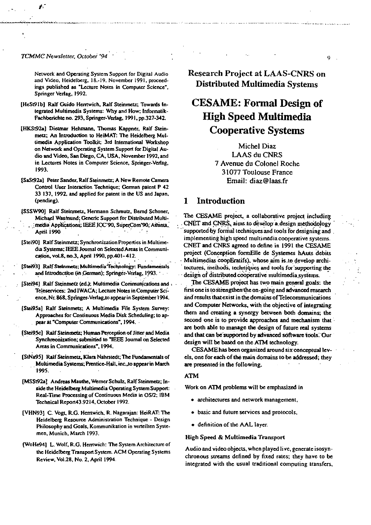TCMMC Newsletter, October '94

Network and Operating System Support for Digital Audio and Video, Heidelberg, 18.-19. November 1991, proceedings published as "Lecture Notes in Computer Science", Springer Verlag, 1992.

- [HeSt91b] Ralf Guido Herrtwich, Ralf Steinmetz; Towards Integrated Multimedia Systems: Why and How; Informatik-Fachberichte no. 293, Springer-Verlag, 1991, pp.327-342.
- [HKSt92a] Dietmar Hehmann, Thomas Kappner, Ralf Steinmetz; An Introduction to HeiMAT: The Heidelberg Multimedia Application Toolkit; 3rd International Workshop on Network and Operating System Support for Digital Audio and Video, San Diego, CA, USA, November 1992, and in Lectures Notes in Computer Science, Springer-Verlag, 1993.
- [SaSt92a] Peter Sander, Ralf Steinmetz; A New Remote Camera Control User Interaction Technique; German patent P 42 33 137, 1992, and applied for patent in the US and Japan, (pending).
- [SSSW90] Ralf Steinmetz, Hermann Schmutz, Bernd Schoner, Michael Wasmund; Generic Support for Distributed Multimedia Applications; IEEE ICC'90, SuperCom'90, Atlanta, **April 1990**
- [Stei90] Ralf Steinmetz; Synchronization Properties in Multimedia Systems; IEEE Journal on Selected Areas in Communication, vol.8, no.3, April 1990, pp.401-412.
- [Stei93] Ralf Steinmetz: Multimedia Technology: Fundamentals and Introduction (in German); Springer-Verlag, 1993.
- [Stei94] Ralf Steinmetz (ed.); Multimedia Communications and : Teleservices: 2nd IWACA; Lecture Notes in Computer Science, Nr. 868, Springer-Verlag, to appear in September 1994.
- [Stei95a] Ralf Steinmetz; A Multimedia File System Survey: Approaches for Continuous Media Disk Scheduling; to appear at "Computer Communications", 1994.
- [Stei95c] Ralf Steinmetz; Human Perception of Jitter and Media Synchreonization; submitted to "IEEE Journal on Selected Areas in Communications", 1994.
- [StNa95] Raif Steinmetz, Klara Nahrstedt; The Fundamentals of Multimedia Systems: Prentice-Hall, inc., to appear in March 1995.
- [MSSt92a] Andreas Mauthe, Werner Schulz, Ralf Steinmetz; Inside the Heidelberg Multimedia Operating System Support: Real-Time Processing of Continuous Media in OS/2; IBM Technical Report43.9214, October 1992.
- [VHN93] C. Vogt, R.G. Herrtwich, R. Nagarajan: HeiRAT: The Heidelberg Resource Administration Technique - Design Philosophy and Goals, Kommunikation in verteilten Systemen, Munich, March 1993.
- [WoHe94] L. Wolf, R.G. Herrtwich: The System Architecture of the Heidelberg Transport System. ACM Operating Systems Review, Vol.28, No. 2, April 1994.

**Research Project at LAAS-CNRS on** Distributed Multimedia Systems

Q.

## **CESAME:** Formal Design of **High Speed Multimedia Cooperative Systems**

Michel Diaz LAAS du CNRS 7 Avenue du Colonel Roche 31077 Toulouse France Email: diaz@laas.fr

#### Introduction  $\mathbf{1}$

The CESAME project, a collaborative project including CNET and CNRS, aims to develop a design methodology supported by formal techniques and tools for designing and implementing high speed multimedia cooperative systems. CNET and CNRS agreed to define in 1991 the CESAME project (Conception formElle de Systemes hAuts debits Multimedias coopEratifs), whose aim is to develop architectures, methods, techniques and tools for supporting the design of distributed cooperative multimedia systems.

The CESAME project has two main general goals: the first one is to strengthen the on-going and advanced research and results that exist in the domains of Telecommunications and Computer Networks, with the objective of integrating them and creating a synergy between both domains; the second one is to provide approaches and mechanism that are both able to manage the design of future real systems and that can be supported by advanced software tools. Our design will be based on the ATM technology.

CESAME has been organized around six conceptual levels, one for each of the main domains to be addressed; they are presented in the following.

#### **ATM**

Work on ATM problems will be emphasized in

- architectures and network management,
- basic and future services and protocols,
- . definition of the AAL layer.

#### High Speed & Multimedia Transport

Audio and video objects, when played live, generate isosynchronous streams defined by fixed rates; they have to be integrated with the usual traditional computing transfers,